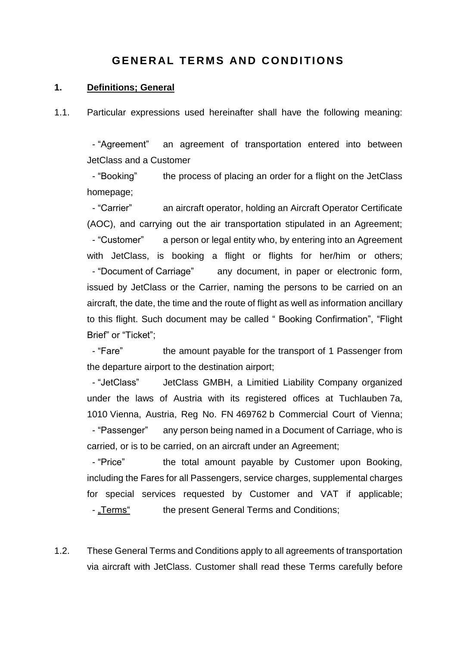# **GENERAL TERMS AND CONDITIONS**

#### **1. Definitions; General**

1.1. Particular expressions used hereinafter shall have the following meaning:

 - "Agreement" an agreement of transportation entered into between JetClass and a Customer

- "Booking" the process of placing an order for a flight on the JetClass homepage;

 - "Carrier" an aircraft operator, holding an Aircraft Operator Certificate (AOC), and carrying out the air transportation stipulated in an Agreement; - "Customer" a person or legal entity who, by entering into an Agreement with JetClass, is booking a flight or flights for her/him or others; - "Document of Carriage" any document, in paper or electronic form, issued by JetClass or the Carrier, naming the persons to be carried on an aircraft, the date, the time and the route of flight as well as information ancillary to this flight. Such document may be called " Booking Confirmation", "Flight Brief" or "Ticket";

 - "Fare" the amount payable for the transport of 1 Passenger from the departure airport to the destination airport;

 - "JetClass" JetClass GMBH, a Limitied Liability Company organized under the laws of Austria with its registered offices at Tuchlauben 7a, 1010 Vienna, Austria, Reg No. FN 469762 b Commercial Court of Vienna; - "Passenger" any person being named in a Document of Carriage, who is carried, or is to be carried, on an aircraft under an Agreement;

- "Price" the total amount payable by Customer upon Booking, including the Fares for all Passengers, service charges, supplemental charges for special services requested by Customer and VAT if applicable; - "Terms" the present General Terms and Conditions;

1.2. These General Terms and Conditions apply to all agreements of transportation via aircraft with JetClass. Customer shall read these Terms carefully before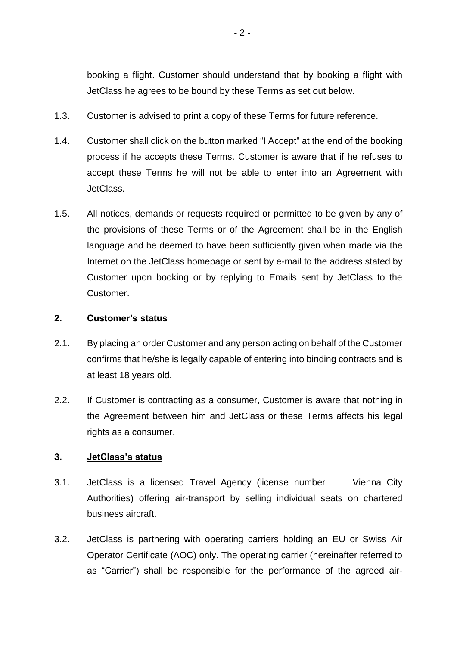booking a flight. Customer should understand that by booking a flight with JetClass he agrees to be bound by these Terms as set out below.

- 1.3. Customer is advised to print a copy of these Terms for future reference.
- 1.4. Customer shall click on the button marked "I Accept" at the end of the booking process if he accepts these Terms. Customer is aware that if he refuses to accept these Terms he will not be able to enter into an Agreement with JetClass.
- 1.5. All notices, demands or requests required or permitted to be given by any of the provisions of these Terms or of the Agreement shall be in the English language and be deemed to have been sufficiently given when made via the Internet on the JetClass homepage or sent by e-mail to the address stated by Customer upon booking or by replying to Emails sent by JetClass to the Customer.

## **2. Customer's status**

- 2.1. By placing an order Customer and any person acting on behalf of the Customer confirms that he/she is legally capable of entering into binding contracts and is at least 18 years old.
- 2.2. If Customer is contracting as a consumer, Customer is aware that nothing in the Agreement between him and JetClass or these Terms affects his legal rights as a consumer.

## **3. JetClass's status**

- 3.1. JetClass is a licensed Travel Agency (license number Vienna City Authorities) offering air-transport by selling individual seats on chartered business aircraft.
- 3.2. JetClass is partnering with operating carriers holding an EU or Swiss Air Operator Certificate (AOC) only. The operating carrier (hereinafter referred to as "Carrier") shall be responsible for the performance of the agreed air-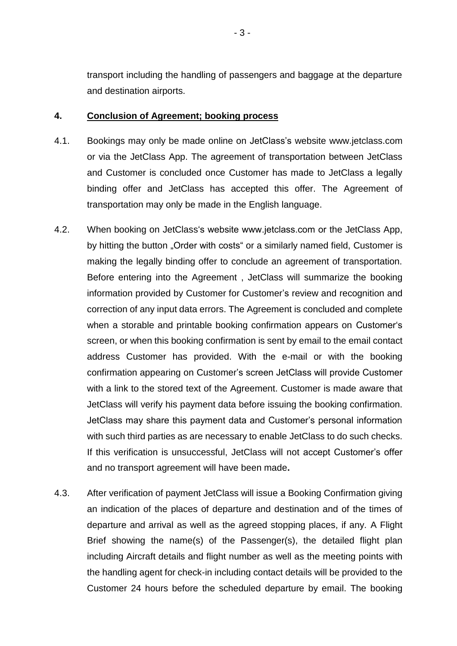transport including the handling of passengers and baggage at the departure and destination airports.

## **4. Conclusion of Agreement; booking process**

- 4.1. Bookings may only be made online on JetClass's website [www.jetclass.com](http://www.jetclass.com/) or via the JetClass App. The agreement of transportation between JetClass and Customer is concluded once Customer has made to JetClass a legally binding offer and JetClass has accepted this offer. The Agreement of transportation may only be made in the English language.
- 4.2. When booking on JetClass's website www.jetclass.com or the JetClass App, by hitting the button "Order with costs" or a similarly named field, Customer is making the legally binding offer to conclude an agreement of transportation. Before entering into the Agreement , JetClass will summarize the booking information provided by Customer for Customer's review and recognition and correction of any input data errors. The Agreement is concluded and complete when a storable and printable booking confirmation appears on Customer's screen, or when this booking confirmation is sent by email to the email contact address Customer has provided. With the e-mail or with the booking confirmation appearing on Customer's screen JetClass will provide Customer with a link to the stored text of the Agreement. Customer is made aware that JetClass will verify his payment data before issuing the booking confirmation. JetClass may share this payment data and Customer's personal information with such third parties as are necessary to enable JetClass to do such checks. If this verification is unsuccessful, JetClass will not accept Customer's offer and no transport agreement will have been made**.**
- 4.3. After verification of payment JetClass will issue a Booking Confirmation giving an indication of the places of departure and destination and of the times of departure and arrival as well as the agreed stopping places, if any. A Flight Brief showing the name(s) of the Passenger(s), the detailed flight plan including Aircraft details and flight number as well as the meeting points with the handling agent for check-in including contact details will be provided to the Customer 24 hours before the scheduled departure by email. The booking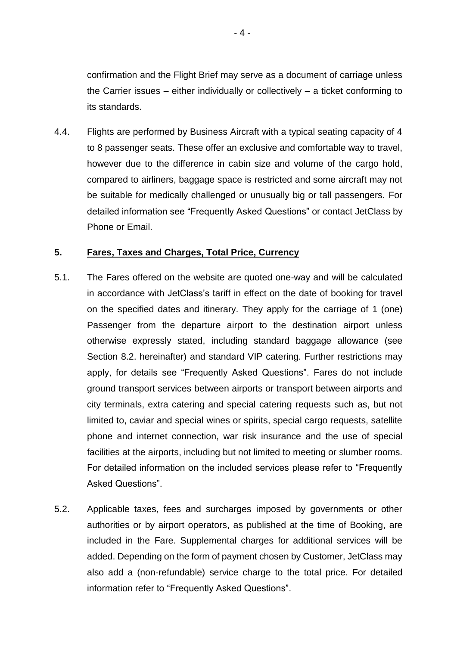confirmation and the Flight Brief may serve as a document of carriage unless the Carrier issues – either individually or collectively – a ticket conforming to its standards.

4.4. Flights are performed by Business Aircraft with a typical seating capacity of 4 to 8 passenger seats. These offer an exclusive and comfortable way to travel, however due to the difference in cabin size and volume of the cargo hold, compared to airliners, baggage space is restricted and some aircraft may not be suitable for medically challenged or unusually big or tall passengers. For detailed information see "Frequently Asked Questions" or contact JetClass by Phone or Email.

## **5. Fares, Taxes and Charges, Total Price, Currency**

- 5.1. The Fares offered on the website are quoted one-way and will be calculated in accordance with JetClass's tariff in effect on the date of booking for travel on the specified dates and itinerary. They apply for the carriage of 1 (one) Passenger from the departure airport to the destination airport unless otherwise expressly stated, including standard baggage allowance (see Section 8.2. hereinafter) and standard VIP catering. Further restrictions may apply, for details see "Frequently Asked Questions". Fares do not include ground transport services between airports or transport between airports and city terminals, extra catering and special catering requests such as, but not limited to, caviar and special wines or spirits, special cargo requests, satellite phone and internet connection, war risk insurance and the use of special facilities at the airports, including but not limited to meeting or slumber rooms. For detailed information on the included services please refer to "Frequently Asked Questions".
- 5.2. Applicable taxes, fees and surcharges imposed by governments or other authorities or by airport operators, as published at the time of Booking, are included in the Fare. Supplemental charges for additional services will be added. Depending on the form of payment chosen by Customer, JetClass may also add a (non-refundable) service charge to the total price. For detailed information refer to "Frequently Asked Questions".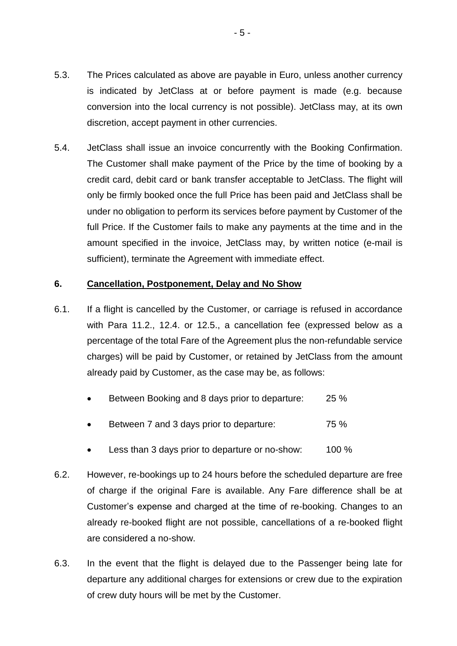- 5.3. The Prices calculated as above are payable in Euro, unless another currency is indicated by JetClass at or before payment is made (e.g. because conversion into the local currency is not possible). JetClass may, at its own discretion, accept payment in other currencies.
- 5.4. JetClass shall issue an invoice concurrently with the Booking Confirmation. The Customer shall make payment of the Price by the time of booking by a credit card, debit card or bank transfer acceptable to JetClass. The flight will only be firmly booked once the full Price has been paid and JetClass shall be under no obligation to perform its services before payment by Customer of the full Price. If the Customer fails to make any payments at the time and in the amount specified in the invoice, JetClass may, by written notice (e-mail is sufficient), terminate the Agreement with immediate effect.

## **6. Cancellation, Postponement, Delay and No Show**

- 6.1. If a flight is cancelled by the Customer, or carriage is refused in accordance with Para 11.2., 12.4. or 12.5., a cancellation fee (expressed below as a percentage of the total Fare of the Agreement plus the non-refundable service charges) will be paid by Customer, or retained by JetClass from the amount already paid by Customer, as the case may be, as follows:
	- Between Booking and 8 days prior to departure: 25 %
	- Between 7 and 3 days prior to departure: 75 %
	- Less than 3 days prior to departure or no-show: 100 %
- 6.2. However, re-bookings up to 24 hours before the scheduled departure are free of charge if the original Fare is available. Any Fare difference shall be at Customer's expense and charged at the time of re-booking. Changes to an already re-booked flight are not possible, cancellations of a re-booked flight are considered a no-show.
- 6.3. In the event that the flight is delayed due to the Passenger being late for departure any additional charges for extensions or crew due to the expiration of crew duty hours will be met by the Customer.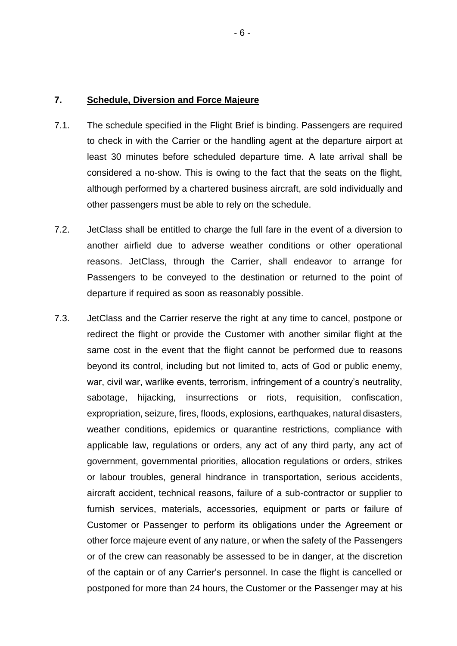#### **7. Schedule, Diversion and Force Majeure**

- 7.1. The schedule specified in the Flight Brief is binding. Passengers are required to check in with the Carrier or the handling agent at the departure airport at least 30 minutes before scheduled departure time. A late arrival shall be considered a no-show. This is owing to the fact that the seats on the flight, although performed by a chartered business aircraft, are sold individually and other passengers must be able to rely on the schedule.
- 7.2. JetClass shall be entitled to charge the full fare in the event of a diversion to another airfield due to adverse weather conditions or other operational reasons. JetClass, through the Carrier, shall endeavor to arrange for Passengers to be conveyed to the destination or returned to the point of departure if required as soon as reasonably possible.
- 7.3. JetClass and the Carrier reserve the right at any time to cancel, postpone or redirect the flight or provide the Customer with another similar flight at the same cost in the event that the flight cannot be performed due to reasons beyond its control, including but not limited to, acts of God or public enemy, war, civil war, warlike events, terrorism, infringement of a country's neutrality, sabotage, hijacking, insurrections or riots, requisition, confiscation, expropriation, seizure, fires, floods, explosions, earthquakes, natural disasters, weather conditions, epidemics or quarantine restrictions, compliance with applicable law, regulations or orders, any act of any third party, any act of government, governmental priorities, allocation regulations or orders, strikes or labour troubles, general hindrance in transportation, serious accidents, aircraft accident, technical reasons, failure of a sub-contractor or supplier to furnish services, materials, accessories, equipment or parts or failure of Customer or Passenger to perform its obligations under the Agreement or other force majeure event of any nature, or when the safety of the Passengers or of the crew can reasonably be assessed to be in danger, at the discretion of the captain or of any Carrier's personnel. In case the flight is cancelled or postponed for more than 24 hours, the Customer or the Passenger may at his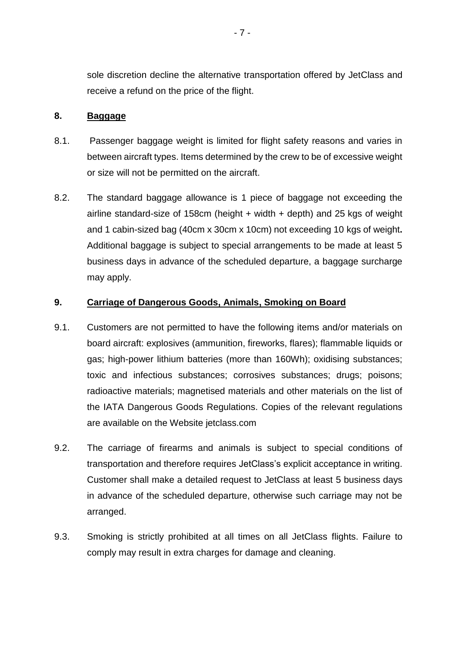sole discretion decline the alternative transportation offered by JetClass and receive a refund on the price of the flight.

### **8. Baggage**

- 8.1. Passenger baggage weight is limited for flight safety reasons and varies in between aircraft types. Items determined by the crew to be of excessive weight or size will not be permitted on the aircraft.
- 8.2. The standard baggage allowance is 1 piece of baggage not exceeding the airline standard-size of 158cm (height + width + depth) and 25 kgs of weight and 1 cabin-sized bag (40cm x 30cm x 10cm) not exceeding 10 kgs of weight**.**  Additional baggage is subject to special arrangements to be made at least 5 business days in advance of the scheduled departure, a baggage surcharge may apply.

## **9. Carriage of Dangerous Goods, Animals, Smoking on Board**

- 9.1. Customers are not permitted to have the following items and/or materials on board aircraft: explosives (ammunition, fireworks, flares); flammable liquids or gas; high-power lithium batteries (more than 160Wh); oxidising substances; toxic and infectious substances; corrosives substances; drugs; poisons; radioactive materials; magnetised materials and other materials on the list of the IATA Dangerous Goods Regulations. Copies of the relevant regulations are available on the Website jetclass.com
- 9.2. The carriage of firearms and animals is subject to special conditions of transportation and therefore requires JetClass's explicit acceptance in writing. Customer shall make a detailed request to JetClass at least 5 business days in advance of the scheduled departure, otherwise such carriage may not be arranged.
- 9.3. Smoking is strictly prohibited at all times on all JetClass flights. Failure to comply may result in extra charges for damage and cleaning.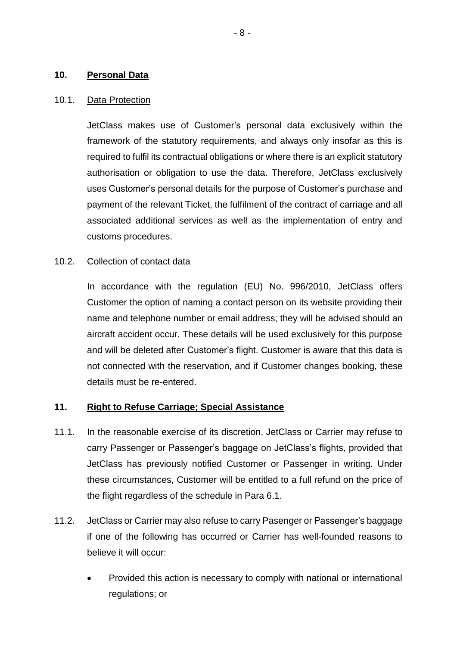### **10. Personal Data**

#### 10.1. Data Protection

JetClass makes use of Customer's personal data exclusively within the framework of the statutory requirements, and always only insofar as this is required to fulfil its contractual obligations or where there is an explicit statutory authorisation or obligation to use the data. Therefore, JetClass exclusively uses Customer's personal details for the purpose of Customer's purchase and payment of the relevant Ticket, the fulfilment of the contract of carriage and all associated additional services as well as the implementation of entry and customs procedures.

## 10.2. Collection of contact data

In accordance with the regulation (EU) No. 996/2010, JetClass offers Customer the option of naming a contact person on its website providing their name and telephone number or email address; they will be advised should an aircraft accident occur. These details will be used exclusively for this purpose and will be deleted after Customer's flight. Customer is aware that this data is not connected with the reservation, and if Customer changes booking, these details must be re-entered.

## **11. Right to Refuse Carriage; Special Assistance**

- 11.1. In the reasonable exercise of its discretion, JetClass or Carrier may refuse to carry Passenger or Passenger's baggage on JetClass's flights, provided that JetClass has previously notified Customer or Passenger in writing. Under these circumstances, Customer will be entitled to a full refund on the price of the flight regardless of the schedule in Para 6.1.
- 11.2. JetClass or Carrier may also refuse to carry Pasenger or Passenger's baggage if one of the following has occurred or Carrier has well-founded reasons to believe it will occur:
	- Provided this action is necessary to comply with national or international regulations; or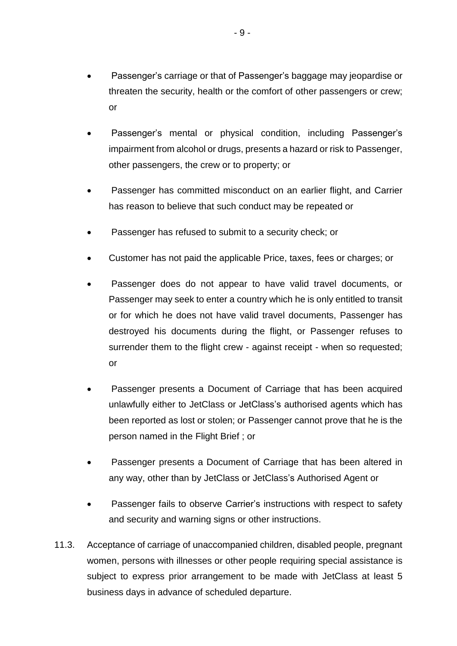- Passenger's carriage or that of Passenger's baggage may jeopardise or threaten the security, health or the comfort of other passengers or crew; or
- Passenger's mental or physical condition, including Passenger's impairment from alcohol or drugs, presents a hazard or risk to Passenger, other passengers, the crew or to property; or
- Passenger has committed misconduct on an earlier flight, and Carrier has reason to believe that such conduct may be repeated or
- Passenger has refused to submit to a security check; or
- Customer has not paid the applicable Price, taxes, fees or charges; or
- Passenger does do not appear to have valid travel documents, or Passenger may seek to enter a country which he is only entitled to transit or for which he does not have valid travel documents, Passenger has destroyed his documents during the flight, or Passenger refuses to surrender them to the flight crew - against receipt - when so requested; or
- Passenger presents a Document of Carriage that has been acquired unlawfully either to JetClass or JetClass's authorised agents which has been reported as lost or stolen; or Passenger cannot prove that he is the person named in the Flight Brief ; or
- Passenger presents a Document of Carriage that has been altered in any way, other than by JetClass or JetClass's Authorised Agent or
- Passenger fails to observe Carrier's instructions with respect to safety and security and warning signs or other instructions.
- 11.3. Acceptance of carriage of unaccompanied children, disabled people, pregnant women, persons with illnesses or other people requiring special assistance is subject to express prior arrangement to be made with JetClass at least 5 business days in advance of scheduled departure.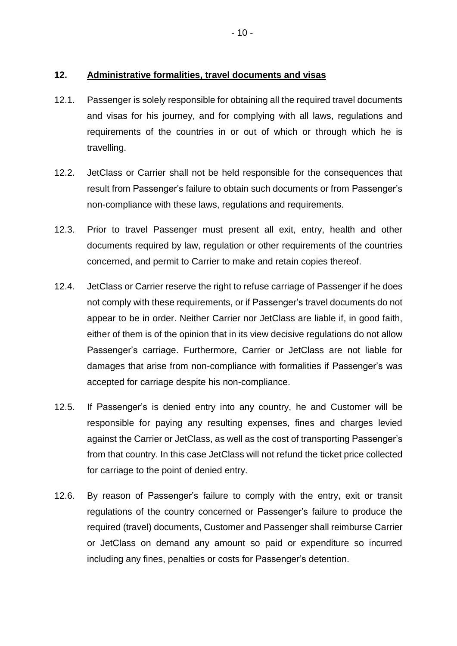## **12. Administrative formalities, travel documents and visas**

- 12.1. Passenger is solely responsible for obtaining all the required travel documents and visas for his journey, and for complying with all laws, regulations and requirements of the countries in or out of which or through which he is travelling.
- 12.2. JetClass or Carrier shall not be held responsible for the consequences that result from Passenger's failure to obtain such documents or from Passenger's non-compliance with these laws, regulations and requirements.
- 12.3. Prior to travel Passenger must present all exit, entry, health and other documents required by law, regulation or other requirements of the countries concerned, and permit to Carrier to make and retain copies thereof.
- 12.4. JetClass or Carrier reserve the right to refuse carriage of Passenger if he does not comply with these requirements, or if Passenger's travel documents do not appear to be in order. Neither Carrier nor JetClass are liable if, in good faith, either of them is of the opinion that in its view decisive regulations do not allow Passenger's carriage. Furthermore, Carrier or JetClass are not liable for damages that arise from non-compliance with formalities if Passenger's was accepted for carriage despite his non-compliance.
- 12.5. If Passenger's is denied entry into any country, he and Customer will be responsible for paying any resulting expenses, fines and charges levied against the Carrier or JetClass, as well as the cost of transporting Passenger's from that country. In this case JetClass will not refund the ticket price collected for carriage to the point of denied entry.
- 12.6. By reason of Passenger's failure to comply with the entry, exit or transit regulations of the country concerned or Passenger's failure to produce the required (travel) documents, Customer and Passenger shall reimburse Carrier or JetClass on demand any amount so paid or expenditure so incurred including any fines, penalties or costs for Passenger's detention.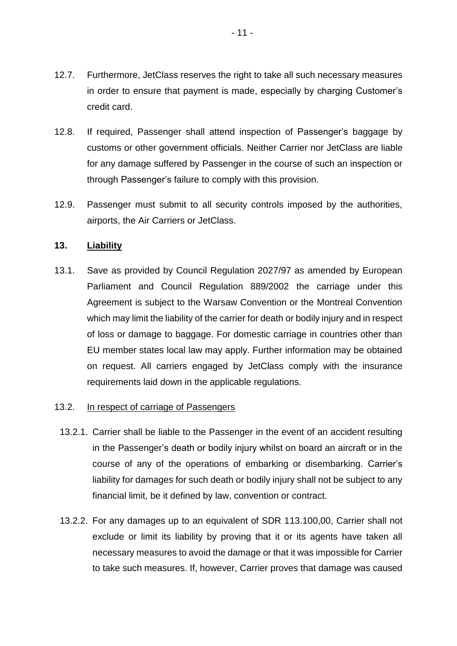- 12.7. Furthermore, JetClass reserves the right to take all such necessary measures in order to ensure that payment is made, especially by charging Customer's credit card.
- 12.8. If required, Passenger shall attend inspection of Passenger's baggage by customs or other government officials. Neither Carrier nor JetClass are liable for any damage suffered by Passenger in the course of such an inspection or through Passenger's failure to comply with this provision.
- 12.9. Passenger must submit to all security controls imposed by the authorities, airports, the Air Carriers or JetClass.

## **13. Liability**

13.1. Save as provided by Council Regulation 2027/97 as amended by European Parliament and Council Regulation 889/2002 the carriage under this Agreement is subject to the Warsaw Convention or the Montreal Convention which may limit the liability of the carrier for death or bodily injury and in respect of loss or damage to baggage. For domestic carriage in countries other than EU member states local law may apply. Further information may be obtained on request. All carriers engaged by JetClass comply with the insurance requirements laid down in the applicable regulations.

## 13.2. In respect of carriage of Passengers

- 13.2.1. Carrier shall be liable to the Passenger in the event of an accident resulting in the Passenger's death or bodily injury whilst on board an aircraft or in the course of any of the operations of embarking or disembarking. Carrier's liability for damages for such death or bodily injury shall not be subject to any financial limit, be it defined by law, convention or contract.
- 13.2.2. For any damages up to an equivalent of SDR 113.100,00, Carrier shall not exclude or limit its liability by proving that it or its agents have taken all necessary measures to avoid the damage or that it was impossible for Carrier to take such measures. If, however, Carrier proves that damage was caused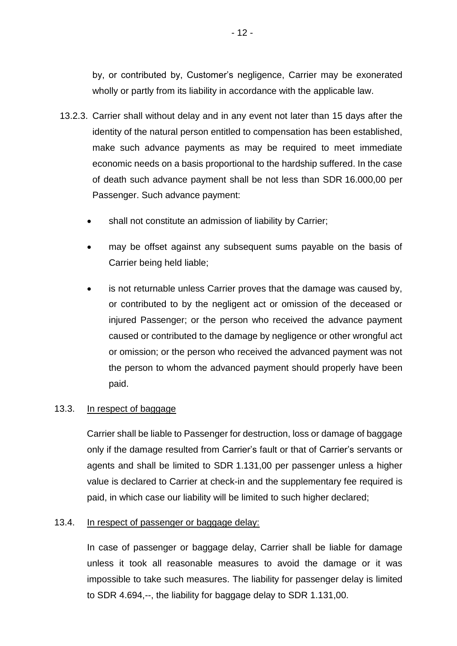by, or contributed by, Customer's negligence, Carrier may be exonerated wholly or partly from its liability in accordance with the applicable law.

- 13.2.3. Carrier shall without delay and in any event not later than 15 days after the identity of the natural person entitled to compensation has been established, make such advance payments as may be required to meet immediate economic needs on a basis proportional to the hardship suffered. In the case of death such advance payment shall be not less than SDR 16.000,00 per Passenger. Such advance payment:
	- shall not constitute an admission of liability by Carrier;
	- may be offset against any subsequent sums payable on the basis of Carrier being held liable;
	- is not returnable unless Carrier proves that the damage was caused by, or contributed to by the negligent act or omission of the deceased or injured Passenger; or the person who received the advance payment caused or contributed to the damage by negligence or other wrongful act or omission; or the person who received the advanced payment was not the person to whom the advanced payment should properly have been paid.

## 13.3. In respect of baggage

Carrier shall be liable to Passenger for destruction, loss or damage of baggage only if the damage resulted from Carrier's fault or that of Carrier's servants or agents and shall be limited to SDR 1.131,00 per passenger unless a higher value is declared to Carrier at check-in and the supplementary fee required is paid, in which case our liability will be limited to such higher declared;

## 13.4. In respect of passenger or baggage delay:

In case of passenger or baggage delay, Carrier shall be liable for damage unless it took all reasonable measures to avoid the damage or it was impossible to take such measures. The liability for passenger delay is limited to SDR 4.694,--, the liability for baggage delay to SDR 1.131,00.